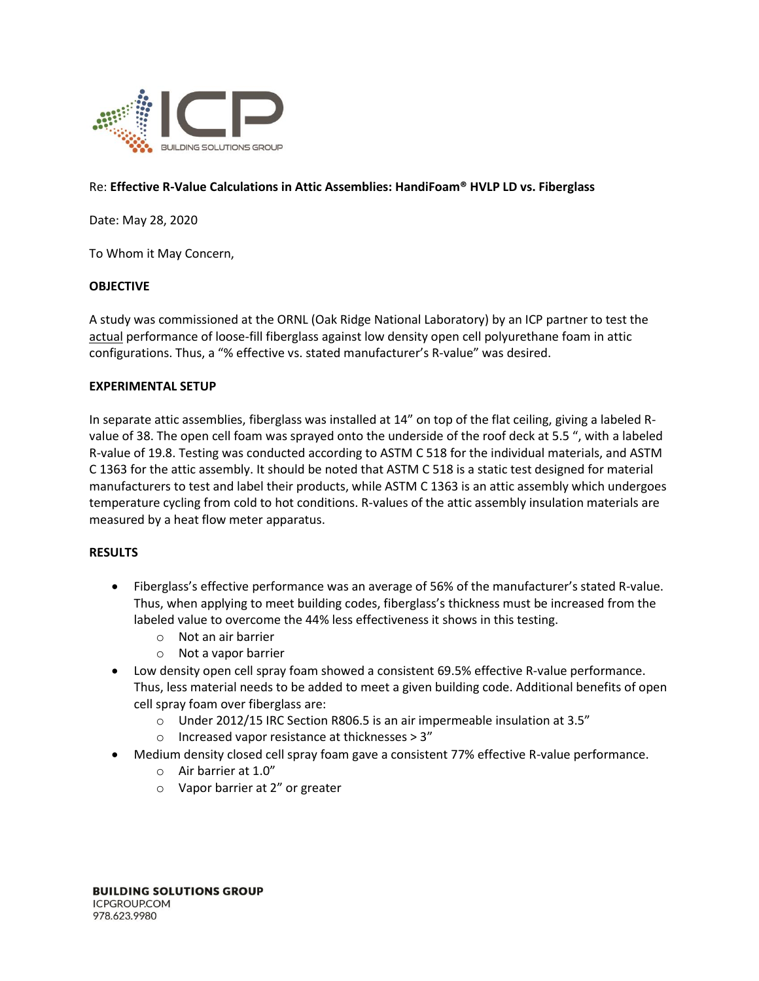

## Re: **Effective R-Value Calculations in Attic Assemblies: HandiFoam® HVLP LD vs. Fiberglass**

Date: May 28, 2020

To Whom it May Concern,

## **OBJECTIVE**

A study was commissioned at the ORNL (Oak Ridge National Laboratory) by an ICP partner to test the actual performance of loose-fill fiberglass against low density open cell polyurethane foam in attic configurations. Thus, a "% effective vs. stated manufacturer's R-value" was desired.

## **EXPERIMENTAL SETUP**

In separate attic assemblies, fiberglass was installed at 14" on top of the flat ceiling, giving a labeled Rvalue of 38. The open cell foam was sprayed onto the underside of the roof deck at 5.5 ", with a labeled R-value of 19.8. Testing was conducted according to ASTM C 518 for the individual materials, and ASTM C 1363 for the attic assembly. It should be noted that ASTM C 518 is a static test designed for material manufacturers to test and label their products, while ASTM C 1363 is an attic assembly which undergoes temperature cycling from cold to hot conditions. R-values of the attic assembly insulation materials are measured by a heat flow meter apparatus.

## **RESULTS**

- Fiberglass's effective performance was an average of 56% of the manufacturer's stated R-value. Thus, when applying to meet building codes, fiberglass's thickness must be increased from the labeled value to overcome the 44% less effectiveness it shows in this testing.
	- o Not an air barrier
	- o Not a vapor barrier
- Low density open cell spray foam showed a consistent 69.5% effective R-value performance. Thus, less material needs to be added to meet a given building code. Additional benefits of open cell spray foam over fiberglass are:
	- o Under 2012/15 IRC Section R806.5 is an air impermeable insulation at 3.5"
	- o Increased vapor resistance at thicknesses > 3"
- Medium density closed cell spray foam gave a consistent 77% effective R-value performance.
	- o Air barrier at 1.0"
	- o Vapor barrier at 2" or greater